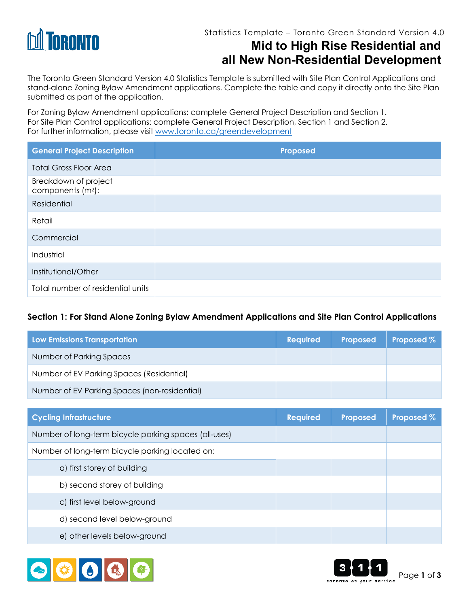

The Toronto Green Standard Version 4.0 Statistics Template is submitted with Site Plan Control Applications and stand-alone Zoning Bylaw Amendment applications. Complete the table and copy it directly onto the Site Plan submitted as part of the application.

For Zoning Bylaw Amendment applications: complete General Project Description and Section 1. For Site Plan Control applications: complete General Project Description, Section 1 and Section 2. For further information, please visit www.toronto.ca/greendevelopment

| <b>General Project Description</b>                    | Proposed |
|-------------------------------------------------------|----------|
| <b>Total Gross Floor Area</b>                         |          |
| Breakdown of project<br>components (m <sup>2</sup> ): |          |
| Residential                                           |          |
| Retail                                                |          |
| Commercial                                            |          |
| Industrial                                            |          |
| Institutional/Other                                   |          |
| Total number of residential units                     |          |

#### **Section 1: For Stand Alone Zoning Bylaw Amendment Applications and Site Plan Control Applications**

| Low Emissions Transportation                  | <b>Required</b> | Proposed | Proposed % |
|-----------------------------------------------|-----------------|----------|------------|
| Number of Parking Spaces                      |                 |          |            |
| Number of EV Parking Spaces (Residential)     |                 |          |            |
| Number of EV Parking Spaces (non-residential) |                 |          |            |

| <b>Cycling Infrastructure</b>                         | <b>Required</b> | Proposed | Proposed % |
|-------------------------------------------------------|-----------------|----------|------------|
| Number of long-term bicycle parking spaces (all-uses) |                 |          |            |
| Number of long-term bicycle parking located on:       |                 |          |            |
| a) first storey of building                           |                 |          |            |
| b) second storey of building                          |                 |          |            |
| c) first level below-ground                           |                 |          |            |
| d) second level below-ground                          |                 |          |            |
| e) other levels below-ground                          |                 |          |            |



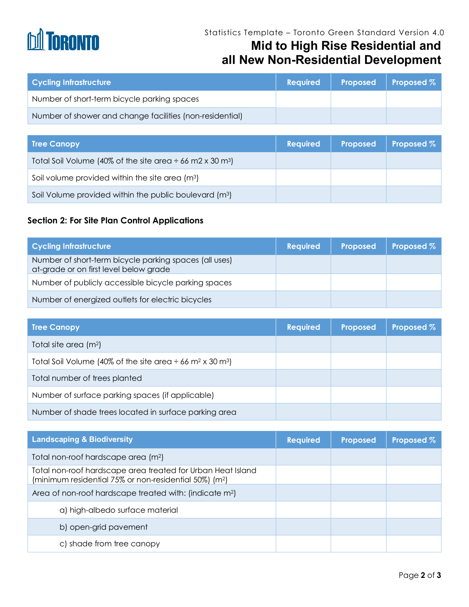# **DA TORONTO**

### Statistics Template – Toronto Green Standard Version 4.0 **Mid to High Rise Residential and all New Non-Residential Development**

| <b>Cycling Infrastructure</b>                            | <b>Required</b> | Proposed | $\vert$ Proposed $\%$ |
|----------------------------------------------------------|-----------------|----------|-----------------------|
| Number of short-term bicycle parking spaces              |                 |          |                       |
| Number of shower and change facilities (non-residential) |                 |          |                       |

| <b>Tree Canopy</b>                                                         | <b>Required</b> | Proposed | <b>Proposed %</b> |
|----------------------------------------------------------------------------|-----------------|----------|-------------------|
| Total Soil Volume (40% of the site area $\div$ 66 m2 x 30 m <sup>3</sup> ) |                 |          |                   |
| Soil volume provided within the site area (m <sup>3</sup> )                |                 |          |                   |
| Soil Volume provided within the public boulevard (m <sup>3</sup> )         |                 |          |                   |

#### **Section 2: For Site Plan Control Applications**

| <b>Cycling Infrastructure</b>                                                                    | <b>Required</b> | <b>Proposed</b> | <b>Proposed %</b> |
|--------------------------------------------------------------------------------------------------|-----------------|-----------------|-------------------|
| Number of short-term bicycle parking spaces (all uses)<br>at-grade or on first level below grade |                 |                 |                   |
| Number of publicly accessible bicycle parking spaces                                             |                 |                 |                   |
| Number of energized outlets for electric bicycles                                                |                 |                 |                   |

| <b>Tree Canopy</b>                                                                     | <b>Required</b> | <b>Proposed</b> | Proposed % |
|----------------------------------------------------------------------------------------|-----------------|-----------------|------------|
| Total site area (m <sup>2</sup> )                                                      |                 |                 |            |
| Total Soil Volume (40% of the site area $\div$ 66 m <sup>2</sup> x 30 m <sup>3</sup> ) |                 |                 |            |
| Total number of trees planted                                                          |                 |                 |            |
| Number of surface parking spaces (if applicable)                                       |                 |                 |            |
| Number of shade trees located in surface parking area                                  |                 |                 |            |

| <b>Landscaping &amp; Biodiversity</b>                                                                                             | <b>Required</b> | <b>Proposed</b> | Proposed % |
|-----------------------------------------------------------------------------------------------------------------------------------|-----------------|-----------------|------------|
| Total non-roof hardscape area (m <sup>2</sup> )                                                                                   |                 |                 |            |
| Total non-roof hardscape area treated for Urban Heat Island<br>(minimum residential 75% or non-residential 50%) (m <sup>2</sup> ) |                 |                 |            |
| Area of non-roof hardscape treated with: (indicate m <sup>2</sup> )                                                               |                 |                 |            |
| a) high-albedo surface material                                                                                                   |                 |                 |            |
| b) open-grid pavement                                                                                                             |                 |                 |            |
| c) shade from tree canopy                                                                                                         |                 |                 |            |